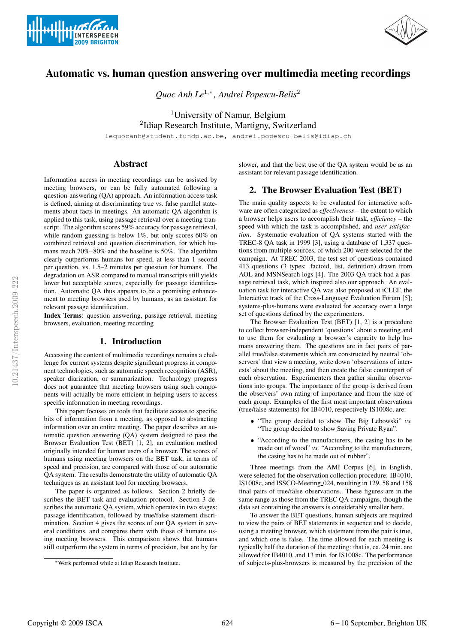



# Automatic vs. human question answering over multimedia meeting recordings

*Quoc Anh Le*<sup>1</sup>,<sup>∗</sup> *, Andrei Popescu-Belis*<sup>2</sup>

<sup>1</sup>University of Namur, Belgium <sup>2</sup>Idiap Research Institute, Martigny, Switzerland

lequocanh@student.fundp.ac.be, andrei.popescu-belis@idiap.ch

# Abstract

Information access in meeting recordings can be assisted by meeting browsers, or can be fully automated following a question-answering (QA) approach. An information access task is defined, aiming at discriminating true vs. false parallel statements about facts in meetings. An automatic QA algorithm is applied to this task, using passage retrieval over a meeting transcript. The algorithm scores 59% accuracy for passage retrieval, while random guessing is below 1%, but only scores 60% on combined retrieval and question discrimination, for which humans reach 70%–80% and the baseline is 50%. The algorithm clearly outperforms humans for speed, at less than 1 second per question, vs. 1.5–2 minutes per question for humans. The degradation on ASR compared to manual transcripts still yields lower but acceptable scores, especially for passage identification. Automatic QA thus appears to be a promising enhancement to meeting browsers used by humans, as an assistant for relevant passage identification.

Index Terms: question answering, passage retrieval, meeting browsers, evaluation, meeting recording

### 1. Introduction

Accessing the content of multimedia recordings remains a challenge for current systems despite significant progress in component technologies, such as automatic speech recognition (ASR), speaker diarization, or summarization. Technology progress does not guarantee that meeting browsers using such components will actually be more efficient in helping users to access specific information in meeting recordings.

This paper focuses on tools that facilitate access to specific bits of information from a meeting, as opposed to abstracting information over an entire meeting. The paper describes an automatic question answering (QA) system designed to pass the Browser Evaluation Test (BET) [1, 2], an evaluation method originally intended for human users of a browser. The scores of humans using meeting browsers on the BET task, in terms of speed and precision, are compared with those of our automatic QA system. The results demonstrate the utility of automatic QA techniques as an assistant tool for meeting browsers.

The paper is organized as follows. Section 2 briefly describes the BET task and evaluation protocol. Section 3 describes the automatic QA system, which operates in two stages: passage identification, followed by true/false statement discrimination. Section 4 gives the scores of our QA system in several conditions, and compares them with those of humans using meeting browsers. This comparison shows that humans still outperform the system in terms of precision, but are by far

slower, and that the best use of the QA system would be as an assistant for relevant passage identification.

# 2. The Browser Evaluation Test (BET)

The main quality aspects to be evaluated for interactive software are often categorized as *effectiveness* – the extent to which a browser helps users to accomplish their task, *efficiency* – the speed with which the task is accomplished, and *user satisfaction*. Systematic evaluation of QA systems started with the TREC-8 QA task in 1999 [3], using a database of 1,337 questions from multiple sources, of which 200 were selected for the campaign. At TREC 2003, the test set of questions contained 413 questions (3 types: factoid, list, definition) drawn from AOL and MSNSearch logs [4]. The 2003 QA track had a passage retrieval task, which inspired also our approach. An evaluation task for interactive QA was also proposed at iCLEF, the Interactive track of the Cross-Language Evaluation Forum [5]; systems-plus-humans were evaluated for accuracy over a large set of questions defined by the experimenters.

The Browser Evaluation Test (BET) [1, 2] is a procedure to collect browser-independent 'questions' about a meeting and to use them for evaluating a browser's capacity to help humans answering them. The questions are in fact pairs of parallel true/false statements which are constructed by neutral 'observers' that view a meeting, write down 'observations of interests' about the meeting, and then create the false counterpart of each observation. Experimenters then gather similar observations into groups. The importance of the group is derived from the observers' own rating of importance and from the size of each group. Examples of the first most important observations (true/false statements) for IB4010, respectively IS1008c, are:

- "The group decided to show The Big Lebowski" *vs.* "The group decided to show Saving Private Ryan".
- "According to the manufacturers, the casing has to be made out of wood" *vs.* "According to the manufacturers, the casing has to be made out of rubber".

Three meetings from the AMI Corpus [6], in English, were selected for the observation collection procedure: IB4010, IS1008c, and ISSCO-Meeting 024, resulting in 129, 58 and 158 final pairs of true/false observations. These figures are in the same range as those from the TREC QA campaigns, though the data set containing the answers is considerably smaller here.

To answer the BET questions, human subjects are required to view the pairs of BET statements in sequence and to decide, using a meeting browser, which statement from the pair is true, and which one is false. The time allowed for each meeting is typically half the duration of the meeting: that is, ca. 24 min. are allowed for IB4010, and 13 min. for IS1008c. The performance of subjects-plus-browsers is measured by the precision of the

<sup>∗</sup>Work performed while at Idiap Research Institute.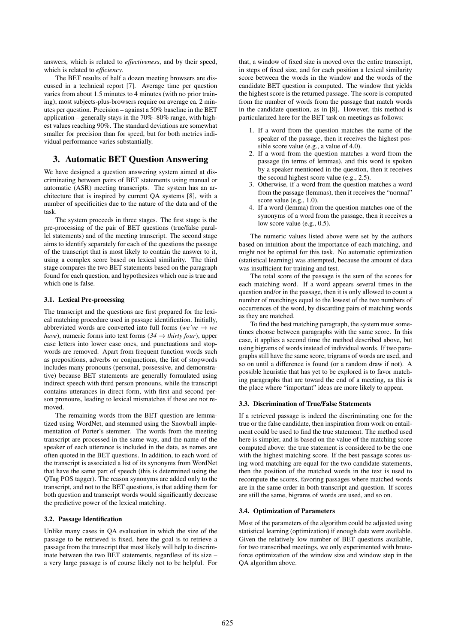answers, which is related to *effectiveness*, and by their speed, which is related to *efficiency*.

The BET results of half a dozen meeting browsers are discussed in a technical report [7]. Average time per question varies from about 1.5 minutes to 4 minutes (with no prior training); most subjects-plus-browsers require on average ca. 2 minutes per question. Precision – against a 50% baseline in the BET application – generally stays in the 70%–80% range, with highest values reaching 90%. The standard deviations are somewhat smaller for precision than for speed, but for both metrics individual performance varies substantially.

# 3. Automatic BET Question Answering

We have designed a question answering system aimed at discriminating between pairs of BET statements using manual or automatic (ASR) meeting transcripts. The system has an architecture that is inspired by current QA systems [8], with a number of specificities due to the nature of the data and of the task.

The system proceeds in three stages. The first stage is the pre-processing of the pair of BET questions (true/false parallel statements) and of the meeting transcript. The second stage aims to identify separately for each of the questions the passage of the transcript that is most likely to contain the answer to it, using a complex score based on lexical similarity. The third stage compares the two BET statements based on the paragraph found for each question, and hypothesizes which one is true and which one is false.

#### 3.1. Lexical Pre-processing

The transcript and the questions are first prepared for the lexical matching procedure used in passage identification. Initially, abbreviated words are converted into full forms ( $we've \rightarrow we$ *have*), numeric forms into text forms ( $34 \rightarrow$  *thirty four*), upper case letters into lower case ones, and punctuations and stopwords are removed. Apart from frequent function words such as prepositions, adverbs or conjunctions, the list of stopwords includes many pronouns (personal, possessive, and demonstrative) because BET statements are generally formulated using indirect speech with third person pronouns, while the transcript contains utterances in direct form, with first and second person pronouns, leading to lexical mismatches if these are not removed.

The remaining words from the BET question are lemmatized using WordNet, and stemmed using the Snowball implementation of Porter's stemmer. The words from the meeting transcript are processed in the same way, and the name of the speaker of each utterance is included in the data, as names are often quoted in the BET questions. In addition, to each word of the transcript is associated a list of its synonyms from WordNet that have the same part of speech (this is determined using the QTag POS tagger). The reason synonyms are added only to the transcript, and not to the BET questions, is that adding them for both question and transcript words would significantly decrease the predictive power of the lexical matching.

# 3.2. Passage Identification

Unlike many cases in QA evaluation in which the size of the passage to be retrieved is fixed, here the goal is to retrieve a passage from the transcript that most likely will help to discriminate between the two BET statements, regardless of its size – a very large passage is of course likely not to be helpful. For

that, a window of fixed size is moved over the entire transcript, in steps of fixed size, and for each position a lexical similarity score between the words in the window and the words of the candidate BET question is computed. The window that yields the highest score is the returned passage. The score is computed from the number of words from the passage that match words in the candidate question, as in [8]. However, this method is particularized here for the BET task on meetings as follows:

- 1. If a word from the question matches the name of the speaker of the passage, then it receives the highest possible score value (e.g., a value of 4.0).
- 2. If a word from the question matches a word from the passage (in terms of lemmas), and this word is spoken by a speaker mentioned in the question, then it receives the second highest score value (e.g., 2.5).
- 3. Otherwise, if a word from the question matches a word from the passage (lemmas), then it receives the "normal" score value (e.g., 1.0).
- 4. If a word (lemma) from the question matches one of the synonyms of a word from the passage, then it receives a low score value (e.g., 0.5).

The numeric values listed above were set by the authors based on intuition about the importance of each matching, and might not be optimal for this task. No automatic optimization (statistical learning) was attempted, because the amount of data was insufficient for training and test.

The total score of the passage is the sum of the scores for each matching word. If a word appears several times in the question and/or in the passage, then it is only allowed to count a number of matchings equal to the lowest of the two numbers of occurrences of the word, by discarding pairs of matching words as they are matched.

To find the best matching paragraph, the system must sometimes choose between paragraphs with the same score. In this case, it applies a second time the method described above, but using bigrams of words instead of individual words. If two paragraphs still have the same score, trigrams of words are used, and so on until a difference is found (or a random draw if not). A possible heuristic that has yet to be explored is to favor matching paragraphs that are toward the end of a meeting, as this is the place where "important" ideas are more likely to appear.

#### 3.3. Discrimination of True/False Statements

If a retrieved passage is indeed the discriminating one for the true or the false candidate, then inspiration from work on entailment could be used to find the true statement. The method used here is simpler, and is based on the value of the matching score computed above: the true statement is considered to be the one with the highest matching score. If the best passage scores using word matching are equal for the two candidate statements, then the position of the matched words in the text is used to recompute the scores, favoring passages where matched words are in the same order in both transcript and question. If scores are still the same, bigrams of words are used, and so on.

#### 3.4. Optimization of Parameters

Most of the parameters of the algorithm could be adjusted using statistical learning (optimization) if enough data were available. Given the relatively low number of BET questions available, for two transcribed meetings, we only experimented with bruteforce optimization of the window size and window step in the QA algorithm above.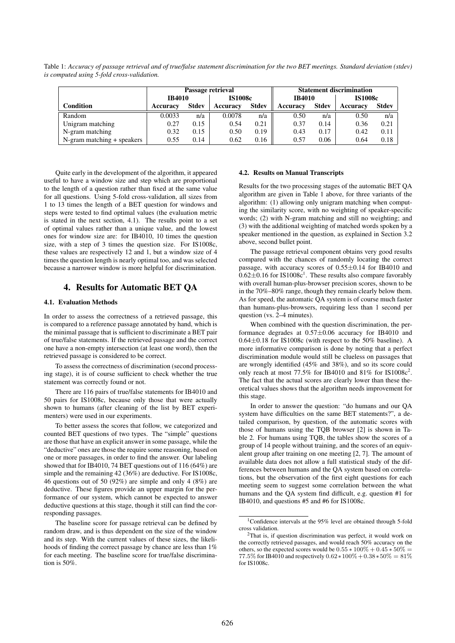Table 1: *Accuracy of passage retrieval and of true/false statement discrimination for the two BET meetings. Standard deviation (stdev) is computed using 5-fold cross-validation.*

|                            | Passage retrieval |              |                |              | <b>Statement discrimination</b> |              |                |              |
|----------------------------|-------------------|--------------|----------------|--------------|---------------------------------|--------------|----------------|--------------|
|                            | <b>IB4010</b>     |              | <b>IS1008c</b> |              | <b>IB4010</b>                   |              | <b>IS1008c</b> |              |
| Condition                  | Accuracy          | <b>Stdev</b> | Accuracy       | <b>Stdev</b> | Accuracy                        | <b>Stdev</b> | Accuracy       | <b>Stdev</b> |
| Random                     | 0.0033            | n/a          | 0.0078         | n/a          | 0.50                            | n/a          | 0.50           | n/a          |
| Unigram matching           | 0.27              | 0.15         | 0.54           | 0.21         | 0.37                            | 0.14         | 0.36           | 0.21         |
| N-gram matching            | 0.32              | 0.15         | 0.50           | 0.19         | 0.43                            | 0.17         | 0.42           | 0.11         |
| N-gram matching + speakers | 0.55              | 0.14         | 0.62           | 0.16         | 0.57                            | 0.06         | 0.64           | 0.18         |

Quite early in the development of the algorithm, it appeared useful to have a window size and step which are proportional to the length of a question rather than fixed at the same value for all questions. Using 5-fold cross-validation, all sizes from 1 to 13 times the length of a BET question for windows and steps were tested to find optimal values (the evaluation metric is stated in the next section, 4.1). The results point to a set of optimal values rather than a unique value, and the lowest ones for window size are: for IB4010, 10 times the question size, with a step of 3 times the question size. For IS1008c, these values are respectively 12 and 1, but a window size of 4 times the question length is nearly optimal too, and was selected because a narrower window is more helpful for discrimination.

### 4. Results for Automatic BET QA

#### 4.1. Evaluation Methods

In order to assess the correctness of a retrieved passage, this is compared to a reference passage annotated by hand, which is the minimal passage that is sufficient to discriminate a BET pair of true/false statements. If the retrieved passage and the correct one have a non-empty intersection (at least one word), then the retrieved passage is considered to be correct.

To assess the correctness of discrimination (second processing stage), it is of course sufficient to check whether the true statement was correctly found or not.

There are 116 pairs of true/false statements for IB4010 and 50 pairs for IS1008c, because only those that were actually shown to humans (after cleaning of the list by BET experimenters) were used in our experiments.

To better assess the scores that follow, we categorized and counted BET questions of two types. The "simple" questions are those that have an explicit answer in some passage, while the "deductive" ones are those the require some reasoning, based on one or more passages, in order to find the answer. Our labeling showed that for IB4010, 74 BET questions out of 116 (64%) are simple and the remaining 42 (36%) are deductive. For IS1008c, 46 questions out of 50 (92%) are simple and only 4 (8%) are deductive. These figures provide an upper margin for the performance of our system, which cannot be expected to answer deductive questions at this stage, though it still can find the corresponding passages.

The baseline score for passage retrieval can be defined by random draw, and is thus dependent on the size of the window and its step. With the current values of these sizes, the likelihoods of finding the correct passage by chance are less than 1% for each meeting. The baseline score for true/false discrimination is 50%.

#### 4.2. Results on Manual Transcripts

Results for the two processing stages of the automatic BET QA algorithm are given in Table 1 above, for three variants of the algorithm: (1) allowing only unigram matching when computing the similarity score, with no weighting of speaker-specific words; (2) with N-gram matching and still no weighting; and (3) with the additional weighting of matched words spoken by a speaker mentioned in the question, as explained in Section 3.2 above, second bullet point.

The passage retrieval component obtains very good results compared with the chances of randomly locating the correct passage, with accuracy scores of 0.55±0.14 for IB4010 and  $0.62 \pm 0.16$  for IS1008c<sup>1</sup>. These results also compare favorably with overall human-plus-browser precision scores, shown to be in the 70%–80% range, though they remain clearly below them. As for speed, the automatic QA system is of course much faster than humans-plus-browsers, requiring less than 1 second per question (vs. 2–4 minutes).

When combined with the question discrimination, the performance degrades at  $0.57 \pm 0.06$  accuracy for IB4010 and  $0.64\pm0.18$  for IS1008c (with respect to the 50% baseline). A more informative comparison is done by noting that a perfect discrimination module would still be clueless on passages that are wrongly identified (45% and 38%), and so its score could only reach at most 77.5% for IB4010 and 81% for IS1008 $c^2$ . The fact that the actual scores are clearly lower than these theoretical values shows that the algorithm needs improvement for this stage.

In order to answer the question: "do humans and our QA system have difficulties on the same BET statements?", a detailed comparison, by question, of the automatic scores with those of humans using the TQB browser [2] is shown in Table 2. For humans using TQB, the tables show the scores of a group of 14 people without training, and the scores of an equivalent group after training on one meeting [2, 7]. The amount of available data does not allow a full statistical study of the differences between humans and the QA system based on correlations, but the observation of the first eight questions for each meeting seem to suggest some correlation between the what humans and the QA system find difficult, e.g. question #1 for IB4010, and questions #5 and #6 for IS1008c.

<sup>1</sup>Confidence intervals at the 95% level are obtained through 5-fold cross validation.

<sup>2</sup>That is, if question discrimination was perfect, it would work on the correctly retrieved passages, and would reach 50% accuracy on the others, so the expected scores would be  $0.55 * 100\% + 0.45 * 50\% =$ 77.5% for IB4010 and respectively  $0.62*100\% + 0.38*50\% = 81\%$ for IS1008c.